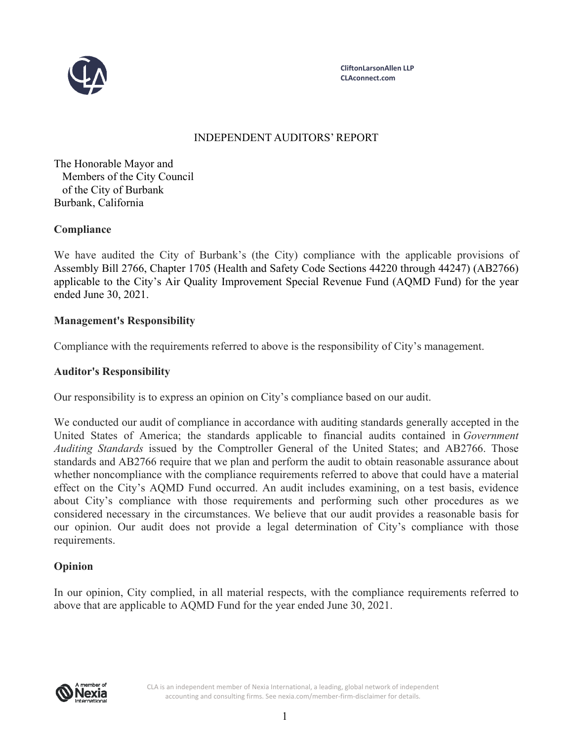

**CliftonLarsonAllen LLP CLAconnect.com**

# INDEPENDENT AUDITORS' REPORT

The Honorable Mayor and Members of the City Council of the City of Burbank Burbank, California

## **Compliance**

We have audited the City of Burbank's (the City) compliance with the applicable provisions of Assembly Bill 2766, Chapter 1705 (Health and Safety Code Sections 44220 through 44247) (AB2766) applicable to the City's Air Quality Improvement Special Revenue Fund (AQMD Fund) for the year ended June 30, 2021.

## **Management's Responsibility**

Compliance with the requirements referred to above is the responsibility of City's management.

#### **Auditor's Responsibility**

Our responsibility is to express an opinion on City's compliance based on our audit.

We conducted our audit of compliance in accordance with auditing standards generally accepted in the United States of America; the standards applicable to financial audits contained in *Government Auditing Standards* issued by the Comptroller General of the United States; and AB2766. Those standards and AB2766 require that we plan and perform the audit to obtain reasonable assurance about whether noncompliance with the compliance requirements referred to above that could have a material effect on the City's AQMD Fund occurred. An audit includes examining, on a test basis, evidence about City's compliance with those requirements and performing such other procedures as we considered necessary in the circumstances. We believe that our audit provides a reasonable basis for our opinion. Our audit does not provide a legal determination of City's compliance with those requirements.

## **Opinion**

In our opinion, City complied, in all material respects, with the compliance requirements referred to above that are applicable to AQMD Fund for the year ended June 30, 2021.